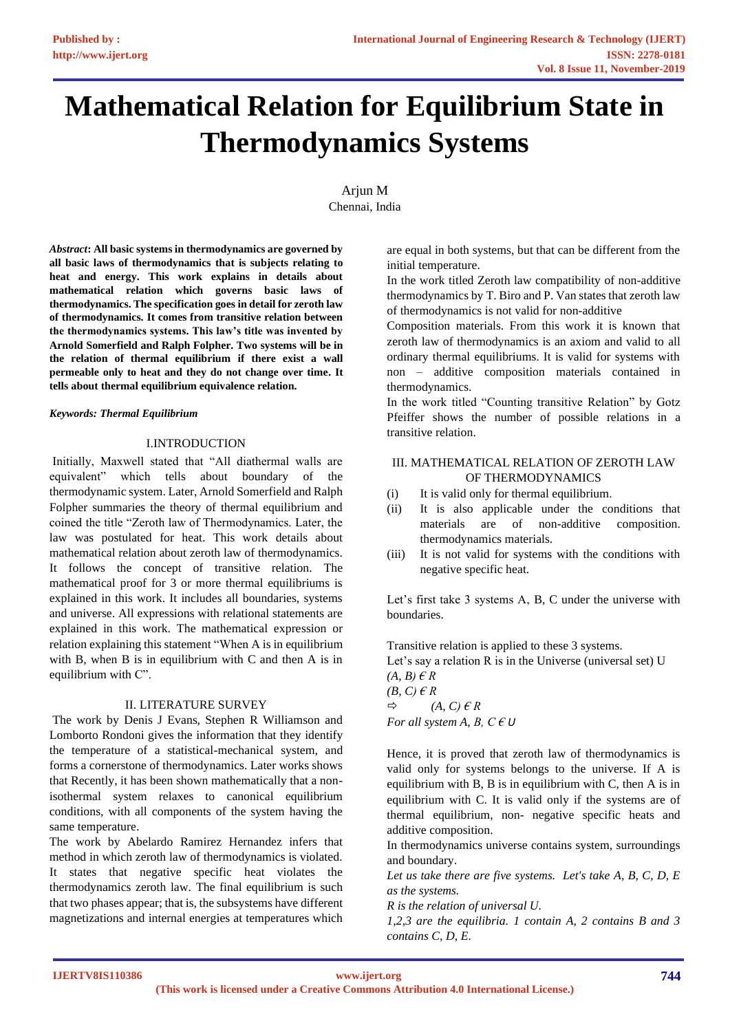# **Mathematical Relation for Equilibrium State in Thermodynamics Systems**

Arjun M Chennai, India

*Abstract***: All basic systems in thermodynamics are governed by all basic laws of thermodynamics that is subjects relating to heat and energy. This work explains in details about mathematical relation which governs basic laws of thermodynamics. The specification goes in detail for zeroth law of thermodynamics. It comes from transitive relation between the thermodynamics systems. This law's title was invented by Arnold Somerfield and Ralph Folpher. Two systems will be in the relation of thermal equilibrium if there exist a wall permeable only to heat and they do not change over time. It tells about thermal equilibrium equivalence relation.**

#### *Keywords: Thermal Equilibrium*

#### I.INTRODUCTION

Initially, Maxwell stated that "All diathermal walls are equivalent" which tells about boundary of the thermodynamic system. Later, Arnold Somerfield and Ralph Folpher summaries the theory of thermal equilibrium and coined the title "Zeroth law of Thermodynamics. Later, the law was postulated for heat. This work details about mathematical relation about zeroth law of thermodynamics. It follows the concept of transitive relation. The mathematical proof for 3 or more thermal equilibriums is explained in this work. It includes all boundaries, systems and universe. All expressions with relational statements are explained in this work. The mathematical expression or relation explaining this statement "When A is in equilibrium with B, when B is in equilibrium with C and then A is in equilibrium with C".

#### II. LITERATURE SURVEY

The work by Denis J Evans, Stephen R Williamson and Lomborto Rondoni gives the information that they identify the temperature of a statistical-mechanical system, and forms a cornerstone of thermodynamics. Later works shows that Recently, it has been shown mathematically that a nonisothermal system relaxes to canonical equilibrium conditions, with all components of the system having the same temperature.

The work by Abelardo Ramirez Hernandez infers that method in which zeroth law of thermodynamics is violated. It states that negative specific heat violates the thermodynamics zeroth law. The final equilibrium is such that two phases appear; that is, the subsystems have different magnetizations and internal energies at temperatures which

are equal in both systems, but that can be different from the initial temperature.

In the work titled Zeroth law compatibility of non-additive thermodynamics by T. Biro and P. Van states that zeroth law of thermodynamics is not valid for non-additive

Composition materials. From this work it is known that zeroth law of thermodynamics is an axiom and valid to all ordinary thermal equilibriums. It is valid for systems with non – additive composition materials contained in thermodynamics.

In the work titled "Counting transitive Relation" by Gotz Pfeiffer shows the number of possible relations in a transitive relation.

# III. MATHEMATICAL RELATION OF ZEROTH LAW OF THERMODYNAMICS

- (i) It is valid only for thermal equilibrium.
- (ii) It is also applicable under the conditions that materials are of non-additive composition. thermodynamics materials.
- (iii) It is not valid for systems with the conditions with negative specific heat.

Let's first take 3 systems A, B, C under the universe with boundaries.

Transitive relation is applied to these 3 systems. Let's say a relation R is in the Universe (universal set) U *(A, B) € R (B, C) € R*  $\Rightarrow$  *(A, C)*  $\in$  *R For all system A, B, C*  $\in U$ 

Hence, it is proved that zeroth law of thermodynamics is valid only for systems belongs to the universe. If A is equilibrium with B, B is in equilibrium with C, then A is in equilibrium with C. It is valid only if the systems are of thermal equilibrium, non- negative specific heats and additive composition.

In thermodynamics universe contains system, surroundings and boundary.

*Let us take there are five systems. Let's take A, B, C, D, E as the systems.*

*R is the relation of universal U.*

*1,2,3 are the equilibria. 1 contain A, 2 contains B and 3 contains C, D, E.*